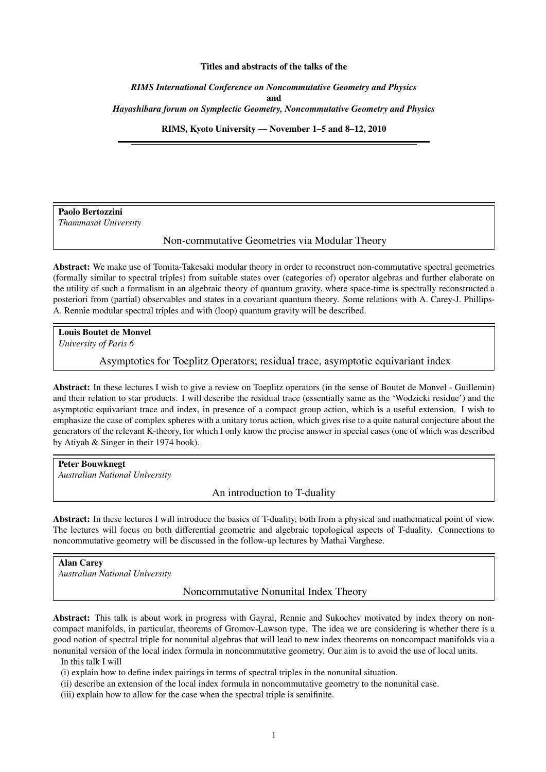#### Titles and abstracts of the talks of the

*RIMS International Conference on Noncommutative Geometry and Physics* and *Hayashibara forum on Symplectic Geometry, Noncommutative Geometry and Physics*

RIMS, Kyoto University — November 1–5 and 8–12, 2010

Paolo Bertozzini *Thammasat University*

Non-commutative Geometries via Modular Theory

Abstract: We make use of Tomita-Takesaki modular theory in order to reconstruct non-commutative spectral geometries (formally similar to spectral triples) from suitable states over (categories of) operator algebras and further elaborate on the utility of such a formalism in an algebraic theory of quantum gravity, where space-time is spectrally reconstructed a posteriori from (partial) observables and states in a covariant quantum theory. Some relations with A. Carey-J. Phillips-A. Rennie modular spectral triples and with (loop) quantum gravity will be described.

Louis Boutet de Monvel *University of Paris 6*

Asymptotics for Toeplitz Operators; residual trace, asymptotic equivariant index

Abstract: In these lectures I wish to give a review on Toeplitz operators (in the sense of Boutet de Monvel - Guillemin) and their relation to star products. I will describe the residual trace (essentially same as the 'Wodzicki residue') and the asymptotic equivariant trace and index, in presence of a compact group action, which is a useful extension. I wish to emphasize the case of complex spheres with a unitary torus action, which gives rise to a quite natural conjecture about the generators of the relevant K-theory, for which I only know the precise answer in special cases (one of which was described by Atiyah & Singer in their 1974 book).

Peter Bouwknegt *Australian National University*

An introduction to T-duality

Abstract: In these lectures I will introduce the basics of T-duality, both from a physical and mathematical point of view. The lectures will focus on both differential geometric and algebraic topological aspects of T-duality. Connections to noncommutative geometry will be discussed in the follow-up lectures by Mathai Varghese.

Alan Carey *Australian National University*

Noncommutative Nonunital Index Theory

Abstract: This talk is about work in progress with Gayral, Rennie and Sukochev motivated by index theory on noncompact manifolds, in particular, theorems of Gromov-Lawson type. The idea we are considering is whether there is a good notion of spectral triple for nonunital algebras that will lead to new index theorems on noncompact manifolds via a nonunital version of the local index formula in noncommutative geometry. Our aim is to avoid the use of local units.

In this talk I will

(i) explain how to define index pairings in terms of spectral triples in the nonunital situation.

(ii) describe an extension of the local index formula in noncommutative geometry to the nonunital case.

(iii) explain how to allow for the case when the spectral triple is semifinite.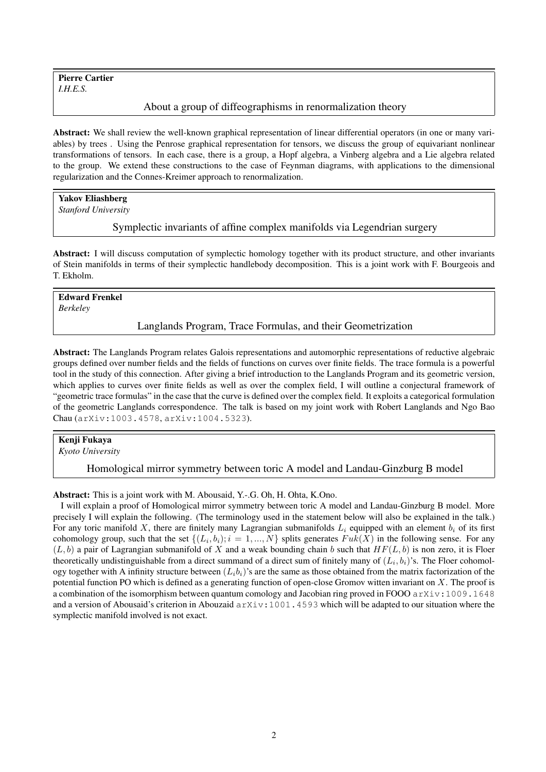Pierre Cartier *I.H.E.S.*

# About a group of diffeographisms in renormalization theory

Abstract: We shall review the well-known graphical representation of linear differential operators (in one or many variables) by trees . Using the Penrose graphical representation for tensors, we discuss the group of equivariant nonlinear transformations of tensors. In each case, there is a group, a Hopf algebra, a Vinberg algebra and a Lie algebra related to the group. We extend these constructions to the case of Feynman diagrams, with applications to the dimensional regularization and the Connes-Kreimer approach to renormalization.

# Yakov Eliashberg

*Stanford University*

Symplectic invariants of affine complex manifolds via Legendrian surgery

Abstract: I will discuss computation of symplectic homology together with its product structure, and other invariants of Stein manifolds in terms of their symplectic handlebody decomposition. This is a joint work with F. Bourgeois and T. Ekholm.

# Edward Frenkel

*Berkeley*

#### Langlands Program, Trace Formulas, and their Geometrization

Abstract: The Langlands Program relates Galois representations and automorphic representations of reductive algebraic groups defined over number fields and the fields of functions on curves over finite fields. The trace formula is a powerful tool in the study of this connection. After giving a brief introduction to the Langlands Program and its geometric version, which applies to curves over finite fields as well as over the complex field, I will outline a conjectural framework of "geometric trace formulas" in the case that the curve is defined over the complex field. It exploits a categorical formulation of the geometric Langlands correspondence. The talk is based on my joint work with Robert Langlands and Ngo Bao Chau (arXiv:1003.4578, arXiv:1004.5323).

#### Kenji Fukaya

*Kyoto University*

Homological mirror symmetry between toric A model and Landau-Ginzburg B model

Abstract: This is a joint work with M. Abousaid, Y.-.G. Oh, H. Ohta, K.Ono.

I will explain a proof of Homological mirror symmetry between toric A model and Landau-Ginzburg B model. More precisely I will explain the following. (The terminology used in the statement below will also be explained in the talk.) For any toric manifold X, there are finitely many Lagrangian submanifolds  $L_i$  equipped with an element  $b_i$  of its first cohomology group, such that the set  $\{(L_i, b_i); i = 1, ..., N\}$  splits generates  $Fuk(X)$  in the following sense. For any  $(L, b)$  a pair of Lagrangian submanifold of X and a weak bounding chain b such that  $HF(L, b)$  is non zero, it is Floer theoretically undistinguishable from a direct summand of a direct sum of finitely many of  $(L_i, b_i)$ 's. The Floer cohomology together with A infinity structure between  $(L_i b_i)$ 's are the same as those obtained from the matrix factorization of the potential function PO which is defined as a generating function of open-close Gromov witten invariant on X. The proof is a combination of the isomorphism between quantum comology and Jacobian ring proved in FOOO arXiv:1009.1648 and a version of Abousaid's criterion in Abouzaid  $arXiv:1001.4593$  which will be adapted to our situation where the symplectic manifold involved is not exact.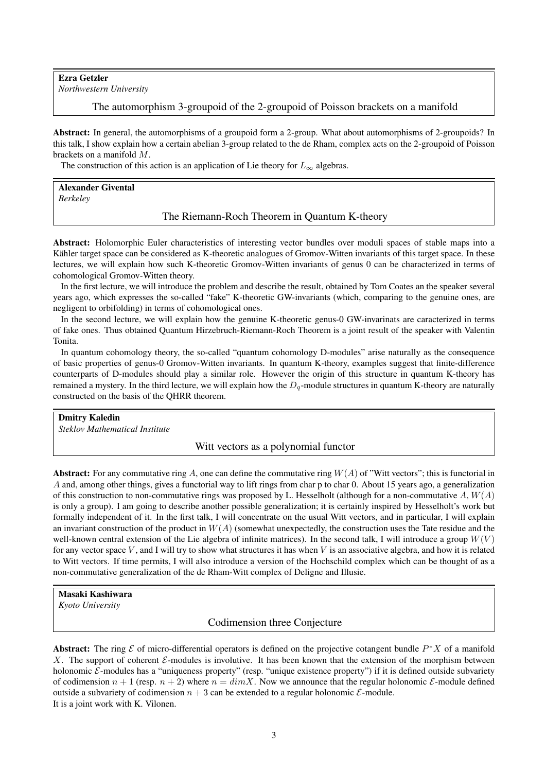# Ezra Getzler

*Northwestern University*

The automorphism 3-groupoid of the 2-groupoid of Poisson brackets on a manifold

Abstract: In general, the automorphisms of a groupoid form a 2-group. What about automorphisms of 2-groupoids? In this talk, I show explain how a certain abelian 3-group related to the de Rham, complex acts on the 2-groupoid of Poisson brackets on a manifold M.

The construction of this action is an application of Lie theory for  $L_{\infty}$  algebras.

Alexander Givental *Berkeley*

The Riemann-Roch Theorem in Quantum K-theory

Abstract: Holomorphic Euler characteristics of interesting vector bundles over moduli spaces of stable maps into a Kähler target space can be considered as K-theoretic analogues of Gromov-Witten invariants of this target space. In these lectures, we will explain how such K-theoretic Gromov-Witten invariants of genus 0 can be characterized in terms of cohomological Gromov-Witten theory.

In the first lecture, we will introduce the problem and describe the result, obtained by Tom Coates an the speaker several years ago, which expresses the so-called "fake" K-theoretic GW-invariants (which, comparing to the genuine ones, are negligent to orbifolding) in terms of cohomological ones.

In the second lecture, we will explain how the genuine K-theoretic genus-0 GW-invarinats are caracterized in terms of fake ones. Thus obtained Quantum Hirzebruch-Riemann-Roch Theorem is a joint result of the speaker with Valentin Tonita.

In quantum cohomology theory, the so-called "quantum cohomology D-modules" arise naturally as the consequence of basic properties of genus-0 Gromov-Witten invariants. In quantum K-theory, examples suggest that finite-difference counterparts of D-modules should play a similar role. However the origin of this structure in quantum K-theory has remained a mystery. In the third lecture, we will explain how the  $D_q$ -module structures in quantum K-theory are naturally constructed on the basis of the QHRR theorem.

Dmitry Kaledin *Steklov Mathematical Institute*

# Witt vectors as a polynomial functor

Abstract: For any commutative ring A, one can define the commutative ring  $W(A)$  of "Witt vectors"; this is functorial in A and, among other things, gives a functorial way to lift rings from char p to char 0. About 15 years ago, a generalization of this construction to non-commutative rings was proposed by L. Hesselholt (although for a non-commutative  $A, W(A)$ ) is only a group). I am going to describe another possible generalization; it is certainly inspired by Hesselholt's work but formally independent of it. In the first talk, I will concentrate on the usual Witt vectors, and in particular, I will explain an invariant construction of the product in  $W(A)$  (somewhat unexpectedly, the construction uses the Tate residue and the well-known central extension of the Lie algebra of infinite matrices). In the second talk, I will introduce a group  $W(V)$ for any vector space V, and I will try to show what structures it has when V is an associative algebra, and how it is related to Witt vectors. If time permits, I will also introduce a version of the Hochschild complex which can be thought of as a non-commutative generalization of the de Rham-Witt complex of Deligne and Illusie.

# Masaki Kashiwara

*Kyoto University*

Codimension three Conjecture

Abstract: The ring  $\mathcal E$  of micro-differential operators is defined on the projective cotangent bundle  $P^*X$  of a manifold X. The support of coherent  $\mathcal{E}$ -modules is involutive. It has been known that the extension of the morphism between holonomic  $\mathcal{E}$ -modules has a "uniqueness property" (resp. "unique existence property") if it is defined outside subvariety of codimension  $n + 1$  (resp.  $n + 2$ ) where  $n = dimX$ . Now we announce that the regular holonomic  $\mathcal{E}$ -module defined outside a subvariety of codimension  $n + 3$  can be extended to a regular holonomic  $\mathcal{E}$ -module. It is a joint work with K. Vilonen.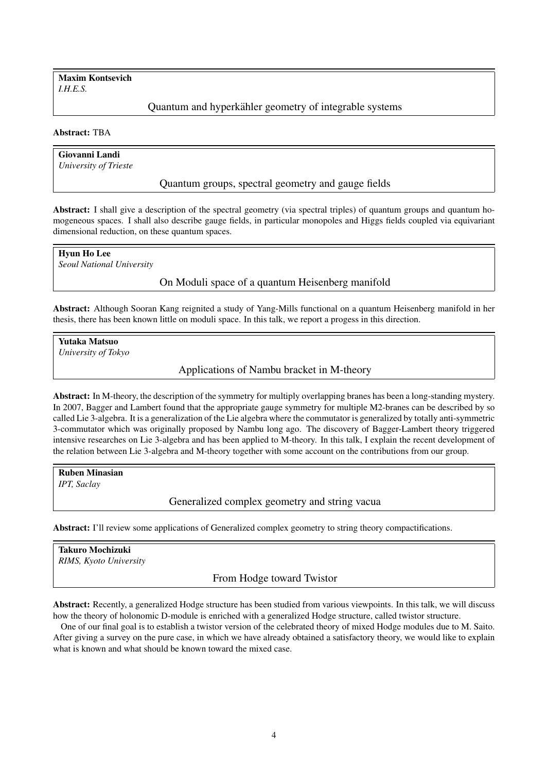Maxim Kontsevich *I.H.E.S.*

Quantum and hyperkähler geometry of integrable systems

### Abstract: TBA

Giovanni Landi *University of Trieste*

Quantum groups, spectral geometry and gauge fields

Abstract: I shall give a description of the spectral geometry (via spectral triples) of quantum groups and quantum homogeneous spaces. I shall also describe gauge fields, in particular monopoles and Higgs fields coupled via equivariant dimensional reduction, on these quantum spaces.

Hyun Ho Lee *Seoul National University*

# On Moduli space of a quantum Heisenberg manifold

Abstract: Although Sooran Kang reignited a study of Yang-Mills functional on a quantum Heisenberg manifold in her thesis, there has been known little on moduli space. In this talk, we report a progess in this direction.

Yutaka Matsuo *University of Tokyo*

Applications of Nambu bracket in M-theory

Abstract: In M-theory, the description of the symmetry for multiply overlapping branes has been a long-standing mystery. In 2007, Bagger and Lambert found that the appropriate gauge symmetry for multiple M2-branes can be described by so called Lie 3-algebra. It is a generalization of the Lie algebra where the commutator is generalized by totally anti-symmetric 3-commutator which was originally proposed by Nambu long ago. The discovery of Bagger-Lambert theory triggered intensive researches on Lie 3-algebra and has been applied to M-theory. In this talk, I explain the recent development of the relation between Lie 3-algebra and M-theory together with some account on the contributions from our group.

Ruben Minasian *IPT, Saclay*

Generalized complex geometry and string vacua

Abstract: I'll review some applications of Generalized complex geometry to string theory compactifications.

# Takuro Mochizuki *RIMS, Kyoto University*

From Hodge toward Twistor

Abstract: Recently, a generalized Hodge structure has been studied from various viewpoints. In this talk, we will discuss how the theory of holonomic D-module is enriched with a generalized Hodge structure, called twistor structure.

One of our final goal is to establish a twistor version of the celebrated theory of mixed Hodge modules due to M. Saito. After giving a survey on the pure case, in which we have already obtained a satisfactory theory, we would like to explain what is known and what should be known toward the mixed case.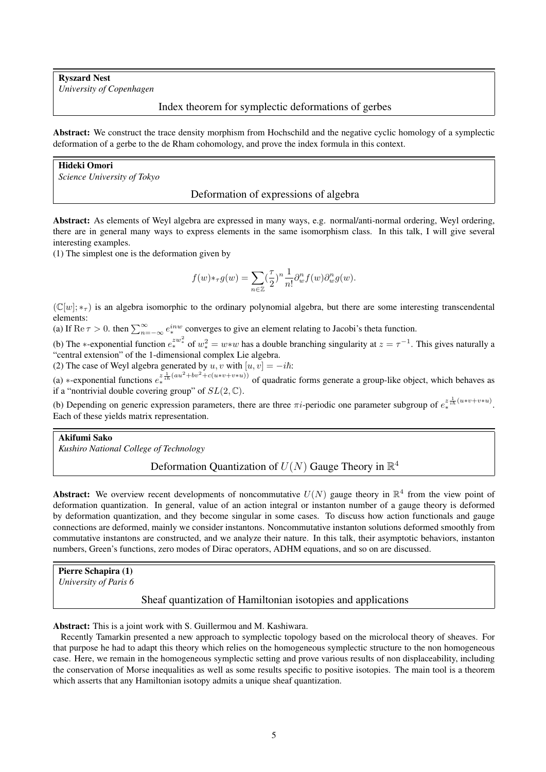Ryszard Nest *University of Copenhagen*

# Index theorem for symplectic deformations of gerbes

Abstract: We construct the trace density morphism from Hochschild and the negative cyclic homology of a symplectic deformation of a gerbe to the de Rham cohomology, and prove the index formula in this context.

# Hideki Omori

*Science University of Tokyo*

#### Deformation of expressions of algebra

Abstract: As elements of Weyl algebra are expressed in many ways, e.g. normal/anti-normal ordering, Weyl ordering, there are in general many ways to express elements in the same isomorphism class. In this talk, I will give several interesting examples.

(1) The simplest one is the deformation given by

$$
f(w) *_{\tau} g(w) = \sum_{n \in \mathbb{Z}} \left(\frac{\tau}{2}\right)^n \frac{1}{n!} \partial_w^n f(w) \partial_w^n g(w).
$$

 $(\mathbb{C}[w]; *_{\tau})$  is an algebra isomorphic to the ordinary polynomial algebra, but there are some interesting transcendental elements:

(a) If Re  $\tau > 0$ . then  $\sum_{n=-\infty}^{\infty} e^{inw}$  converges to give an element relating to Jacobi's theta function.

(b) The \*-exponential function  $e^{zw^2}$  of  $w^2$  =  $w*w$  has a double branching singularity at  $z = \tau^{-1}$ . This gives naturally a "central extension" of the 1-dimensional complex Lie algebra.

(2) The case of Weyl algebra generated by  $u, v$  with  $[u, v] = -i\hbar$ :

(a) \*-exponential functions  $e^{z \frac{1}{2h}(au^2 + bv^2 + c(uvw + v * u))}$  of quadratic forms generate a group-like object, which behaves as if a "nontrivial double covering group" of  $SL(2, \mathbb{C})$ .

(b) Depending on generic expression parameters, there are three  $\pi i$ -periodic one parameter subgroup of  $e_{*}^{z \frac{1}{i\hbar}(u*v+v*u)}$ . Each of these yields matrix representation.

#### Akifumi Sako

*Kushiro National College of Technology*

# Deformation Quantization of  $U(N)$  Gauge Theory in  $\mathbb{R}^4$

**Abstract:** We overview recent developments of noncommutative  $U(N)$  gauge theory in  $\mathbb{R}^4$  from the view point of deformation quantization. In general, value of an action integral or instanton number of a gauge theory is deformed by deformation quantization, and they become singular in some cases. To discuss how action functionals and gauge connections are deformed, mainly we consider instantons. Noncommutative instanton solutions deformed smoothly from commutative instantons are constructed, and we analyze their nature. In this talk, their asymptotic behaviors, instanton numbers, Green's functions, zero modes of Dirac operators, ADHM equations, and so on are discussed.

Pierre Schapira (1)

*University of Paris 6*

#### Sheaf quantization of Hamiltonian isotopies and applications

Abstract: This is a joint work with S. Guillermou and M. Kashiwara.

Recently Tamarkin presented a new approach to symplectic topology based on the microlocal theory of sheaves. For that purpose he had to adapt this theory which relies on the homogeneous symplectic structure to the non homogeneous case. Here, we remain in the homogeneous symplectic setting and prove various results of non displaceability, including the conservation of Morse inequalities as well as some results specific to positive isotopies. The main tool is a theorem which asserts that any Hamiltonian isotopy admits a unique sheaf quantization.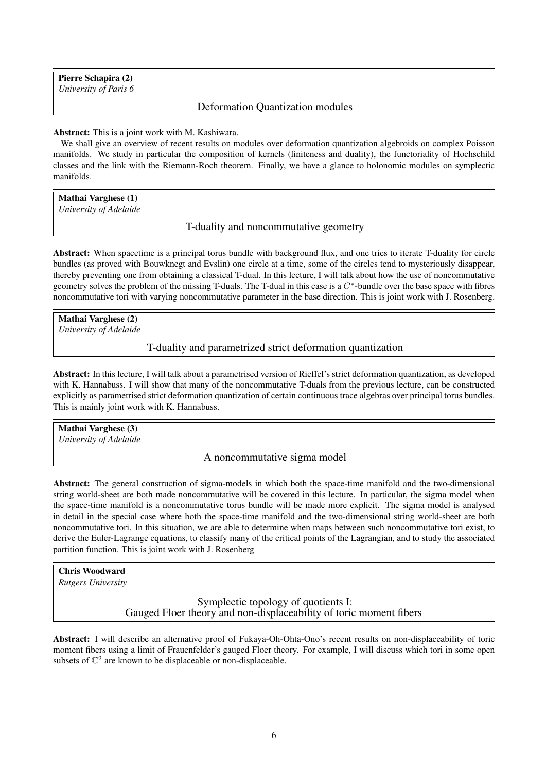Pierre Schapira (2) *University of Paris 6*

# Deformation Quantization modules

#### Abstract: This is a joint work with M. Kashiwara.

We shall give an overview of recent results on modules over deformation quantization algebroids on complex Poisson manifolds. We study in particular the composition of kernels (finiteness and duality), the functoriality of Hochschild classes and the link with the Riemann-Roch theorem. Finally, we have a glance to holonomic modules on symplectic manifolds.

Mathai Varghese (1) *University of Adelaide*

T-duality and noncommutative geometry

Abstract: When spacetime is a principal torus bundle with background flux, and one tries to iterate T-duality for circle bundles (as proved with Bouwknegt and Evslin) one circle at a time, some of the circles tend to mysteriously disappear, thereby preventing one from obtaining a classical T-dual. In this lecture, I will talk about how the use of noncommutative geometry solves the problem of the missing T-duals. The T-dual in this case is a  $C^*$ -bundle over the base space with fibres noncommutative tori with varying noncommutative parameter in the base direction. This is joint work with J. Rosenberg.

Mathai Varghese (2) *University of Adelaide*

### T-duality and parametrized strict deformation quantization

Abstract: In this lecture, I will talk about a parametrised version of Rieffel's strict deformation quantization, as developed with K. Hannabuss. I will show that many of the noncommutative T-duals from the previous lecture, can be constructed explicitly as parametrised strict deformation quantization of certain continuous trace algebras over principal torus bundles. This is mainly joint work with K. Hannabuss.

Mathai Varghese (3) *University of Adelaide*

A noncommutative sigma model

Abstract: The general construction of sigma-models in which both the space-time manifold and the two-dimensional string world-sheet are both made noncommutative will be covered in this lecture. In particular, the sigma model when the space-time manifold is a noncommutative torus bundle will be made more explicit. The sigma model is analysed in detail in the special case where both the space-time manifold and the two-dimensional string world-sheet are both noncommutative tori. In this situation, we are able to determine when maps between such noncommutative tori exist, to derive the Euler-Lagrange equations, to classify many of the critical points of the Lagrangian, and to study the associated partition function. This is joint work with J. Rosenberg

# Chris Woodward

*Rutgers University*

Symplectic topology of quotients I: Gauged Floer theory and non-displaceability of toric moment fibers

Abstract: I will describe an alternative proof of Fukaya-Oh-Ohta-Ono's recent results on non-displaceability of toric moment fibers using a limit of Frauenfelder's gauged Floer theory. For example, I will discuss which tori in some open subsets of  $\mathbb{C}^2$  are known to be displaceable or non-displaceable.